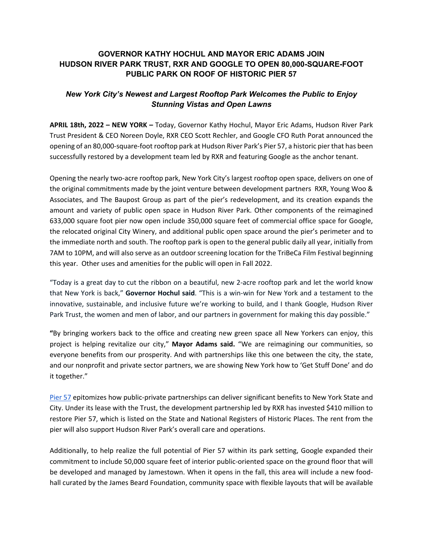## **GOVERNOR KATHY HOCHUL AND MAYOR ERIC ADAMS JOIN HUDSON RIVER PARK TRUST, RXR AND GOOGLE TO OPEN 80,000-SQUARE-FOOT PUBLIC PARK ON ROOF OF HISTORIC PIER 57**

# *New York City's Newest and Largest Rooftop Park Welcomes the Public to Enjoy Stunning Vistas and Open Lawns*

**APRIL 18th, 2022 – NEW YORK –** Today, Governor Kathy Hochul, Mayor Eric Adams, Hudson River Park Trust President & CEO Noreen Doyle, RXR CEO Scott Rechler, and Google CFO Ruth Porat announced the opening of an 80,000-square-foot rooftop park at Hudson River Park's Pier 57, a historic pier that has been successfully restored by a development team led by RXR and featuring Google as the anchor tenant.

Opening the nearly two-acre rooftop park, New York City's largest rooftop open space, delivers on one of the original commitments made by the joint venture between development partners RXR, Young Woo & Associates, and The Baupost Group as part of the pier's redevelopment, and its creation expands the amount and variety of public open space in Hudson River Park. Other components of the reimagined 633,000 square foot pier now open include 350,000 square feet of commercial office space for Google, the relocated original City Winery, and additional public open space around the pier's perimeter and to the immediate north and south. The rooftop park is open to the general public daily all year, initially from 7AM to 10PM, and will also serve as an outdoor screening location for the TriBeCa Film Festival beginning this year. Other uses and amenities for the public will open in Fall 2022.

"Today is a great day to cut the ribbon on a beautiful, new 2-acre rooftop park and let the world know that New York is back," **Governor Hochul said**. "This is a win-win for New York and a testament to the innovative, sustainable, and inclusive future we're working to build, and I thank Google, Hudson River Park Trust, the women and men of labor, and our partners in government for making this day possible."

**"**By bringing workers back to the office and creating new green space all New Yorkers can enjoy, this project is helping revitalize our city," **Mayor Adams said.** "We are reimagining our communities, so everyone benefits from our prosperity. And with partnerships like this one between the city, the state, and our nonprofit and private sector partners, we are showing New York how to 'Get Stuff Done' and do it together."

Pier 57 epitomizes how public-private partnerships can deliver significant benefits to New York State and City. Under its lease with the Trust, the development partnership led by RXR has invested \$410 million to restore Pier 57, which is listed on the State and National Registers of Historic Places. The rent from the pier will also support Hudson River Park's overall care and operations.

Additionally, to help realize the full potential of Pier 57 within its park setting, Google expanded their commitment to include 50,000 square feet of interior public-oriented space on the ground floor that will be developed and managed by Jamestown. When it opens in the fall, this area will include a new foodhall curated by the James Beard Foundation, community space with flexible layouts that will be available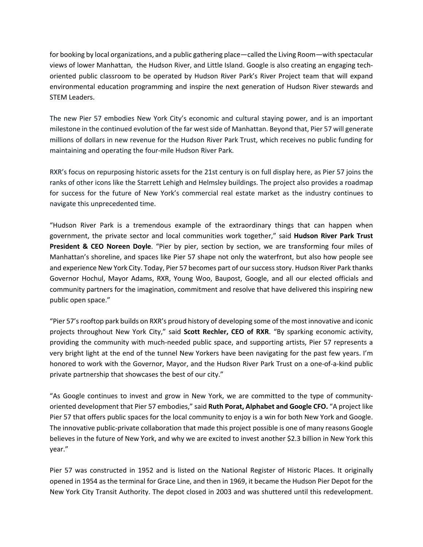for booking by local organizations, and a public gathering place—called the Living Room—with spectacular views of lower Manhattan, the Hudson River, and Little Island. Google is also creating an engaging techoriented public classroom to be operated by Hudson River Park's River Project team that will expand environmental education programming and inspire the next generation of Hudson River stewards and STEM Leaders.

The new Pier 57 embodies New York City's economic and cultural staying power, and is an important milestone in the continued evolution of the far west side of Manhattan. Beyond that, Pier 57 will generate millions of dollars in new revenue for the Hudson River Park Trust, which receives no public funding for maintaining and operating the four-mile Hudson River Park.

RXR's focus on repurposing historic assets for the 21st century is on full display here, as Pier 57 joins the ranks of other icons like the Starrett Lehigh and Helmsley buildings. The project also provides a roadmap for success for the future of New York's commercial real estate market as the industry continues to navigate this unprecedented time.

"Hudson River Park is a tremendous example of the extraordinary things that can happen when government, the private sector and local communities work together," said **Hudson River Park Trust President & CEO Noreen Doyle**. "Pier by pier, section by section, we are transforming four miles of Manhattan's shoreline, and spaces like Pier 57 shape not only the waterfront, but also how people see and experience New York City. Today, Pier 57 becomes part of our success story. Hudson River Park thanks Governor Hochul, Mayor Adams, RXR, Young Woo, Baupost, Google, and all our elected officials and community partners for the imagination, commitment and resolve that have delivered this inspiring new public open space."

"Pier 57's rooftop park builds on RXR's proud history of developing some of the most innovative and iconic projects throughout New York City," said **Scott Rechler, CEO of RXR**. "By sparking economic activity, providing the community with much-needed public space, and supporting artists, Pier 57 represents a very bright light at the end of the tunnel New Yorkers have been navigating for the past few years. I'm honored to work with the Governor, Mayor, and the Hudson River Park Trust on a one-of-a-kind public private partnership that showcases the best of our city."

"As Google continues to invest and grow in New York, we are committed to the type of communityoriented development that Pier 57 embodies," said **Ruth Porat, Alphabet and Google CFO.** "A project like Pier 57 that offers public spaces for the local community to enjoy is a win for both New York and Google. The innovative public-private collaboration that made this project possible is one of many reasons Google believes in the future of New York, and why we are excited to invest another \$2.3 billion in New York this year."

Pier 57 was constructed in 1952 and is listed on the National Register of Historic Places. It originally opened in 1954 as the terminal for Grace Line, and then in 1969, it became the Hudson Pier Depot for the New York City Transit Authority. The depot closed in 2003 and was shuttered until this redevelopment.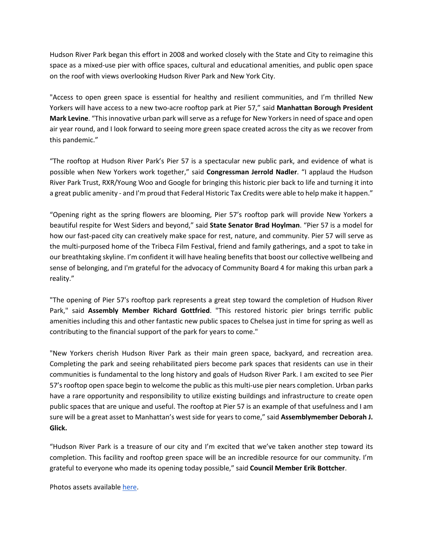Hudson River Park began this effort in 2008 and worked closely with the State and City to reimagine this space as a mixed-use pier with office spaces, cultural and educational amenities, and public open space on the roof with views overlooking Hudson River Park and New York City.

"Access to open green space is essential for healthy and resilient communities, and I'm thrilled New Yorkers will have access to a new two-acre rooftop park at Pier 57," said **Manhattan Borough President Mark Levine**. "This innovative urban park will serve as a refuge for New Yorkers in need of space and open air year round, and I look forward to seeing more green space created across the city as we recover from this pandemic."

"The rooftop at Hudson River Park's Pier 57 is a spectacular new public park, and evidence of what is possible when New Yorkers work together," said **Congressman Jerrold Nadler**. "I applaud the Hudson River Park Trust, RXR/Young Woo and Google for bringing this historic pier back to life and turning it into a great public amenity - and I'm proud that Federal Historic Tax Credits were able to help make it happen."

"Opening right as the spring flowers are blooming, Pier 57's rooftop park will provide New Yorkers a beautiful respite for West Siders and beyond," said **State Senator Brad Hoylman**. "Pier 57 is a model for how our fast-paced city can creatively make space for rest, nature, and community. Pier 57 will serve as the multi-purposed home of the Tribeca Film Festival, friend and family gatherings, and a spot to take in our breathtaking skyline. I'm confident it will have healing benefits that boost our collective wellbeing and sense of belonging, and I'm grateful for the advocacy of Community Board 4 for making this urban park a reality."

"The opening of Pier 57's rooftop park represents a great step toward the completion of Hudson River Park," said **Assembly Member Richard Gottfried**. "This restored historic pier brings terrific public amenities including this and other fantastic new public spaces to Chelsea just in time for spring as well as contributing to the financial support of the park for years to come."

"New Yorkers cherish Hudson River Park as their main green space, backyard, and recreation area. Completing the park and seeing rehabilitated piers become park spaces that residents can use in their communities is fundamental to the long history and goals of Hudson River Park. I am excited to see Pier 57's rooftop open space begin to welcome the public as this multi-use pier nears completion. Urban parks have a rare opportunity and responsibility to utilize existing buildings and infrastructure to create open public spaces that are unique and useful. The rooftop at Pier 57 is an example of that usefulness and I am sure will be a great asset to Manhattan's west side for years to come," said **Assemblymember Deborah J. Glick.** 

"Hudson River Park is a treasure of our city and I'm excited that we've taken another step toward its completion. This facility and rooftop green space will be an incredible resource for our community. I'm grateful to everyone who made its opening today possible," said **Council Member Erik Bottcher**.

Photos assets available here.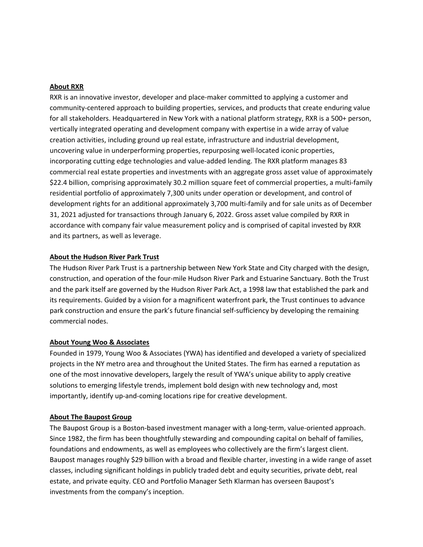#### **About RXR**

RXR is an innovative investor, developer and place-maker committed to applying a customer and community-centered approach to building properties, services, and products that create enduring value for all stakeholders. Headquartered in New York with a national platform strategy, RXR is a 500+ person, vertically integrated operating and development company with expertise in a wide array of value creation activities, including ground up real estate, infrastructure and industrial development, uncovering value in underperforming properties, repurposing well-located iconic properties, incorporating cutting edge technologies and value-added lending. The RXR platform manages 83 commercial real estate properties and investments with an aggregate gross asset value of approximately \$22.4 billion, comprising approximately 30.2 million square feet of commercial properties, a multi-family residential portfolio of approximately 7,300 units under operation or development, and control of development rights for an additional approximately 3,700 multi-family and for sale units as of December 31, 2021 adjusted for transactions through January 6, 2022. Gross asset value compiled by RXR in accordance with company fair value measurement policy and is comprised of capital invested by RXR and its partners, as well as leverage.

## **About the Hudson River Park Trust**

The Hudson River Park Trust is a partnership between New York State and City charged with the design, construction, and operation of the four-mile Hudson River Park and Estuarine Sanctuary. Both the Trust and the park itself are governed by the Hudson River Park Act, a 1998 law that established the park and its requirements. Guided by a vision for a magnificent waterfront park, the Trust continues to advance park construction and ensure the park's future financial self-sufficiency by developing the remaining commercial nodes.

#### **About Young Woo & Associates**

Founded in 1979, Young Woo & Associates (YWA) has identified and developed a variety of specialized projects in the NY metro area and throughout the United States. The firm has earned a reputation as one of the most innovative developers, largely the result of YWA's unique ability to apply creative solutions to emerging lifestyle trends, implement bold design with new technology and, most importantly, identify up-and-coming locations ripe for creative development.

#### **About The Baupost Group**

The Baupost Group is a Boston-based investment manager with a long-term, value-oriented approach. Since 1982, the firm has been thoughtfully stewarding and compounding capital on behalf of families, foundations and endowments, as well as employees who collectively are the firm's largest client. Baupost manages roughly \$29 billion with a broad and flexible charter, investing in a wide range of asset classes, including significant holdings in publicly traded debt and equity securities, private debt, real estate, and private equity. CEO and Portfolio Manager Seth Klarman has overseen Baupost's investments from the company's inception.